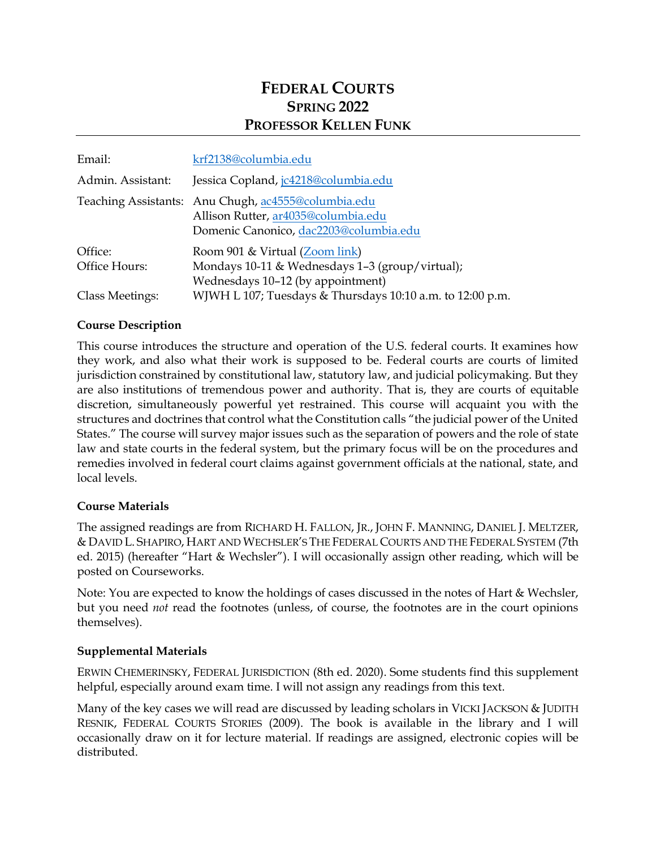# **FEDERAL COURTS SPRING 2022 PROFESSOR KELLEN FUNK**

| Email:                   | krf2138@columbia.edu                                                                                                                 |
|--------------------------|--------------------------------------------------------------------------------------------------------------------------------------|
| Admin. Assistant:        | Jessica Copland, jc4218@columbia.edu                                                                                                 |
|                          | Teaching Assistants: Anu Chugh, ac4555@columbia.edu<br>Allison Rutter, ar4035@columbia.edu<br>Domenic Canonico, dac2203@columbia.edu |
| Office:<br>Office Hours: | Room 901 & Virtual (Zoom link)<br>Mondays 10-11 & Wednesdays 1-3 (group/virtual);<br>Wednesdays 10-12 (by appointment)               |
| <b>Class Meetings:</b>   | WJWH L 107; Tuesdays & Thursdays 10:10 a.m. to 12:00 p.m.                                                                            |

### **Course Description**

This course introduces the structure and operation of the U.S. federal courts. It examines how they work, and also what their work is supposed to be. Federal courts are courts of limited jurisdiction constrained by constitutional law, statutory law, and judicial policymaking. But they are also institutions of tremendous power and authority. That is, they are courts of equitable discretion, simultaneously powerful yet restrained. This course will acquaint you with the structures and doctrines that control what the Constitution calls "the judicial power of the United States." The course will survey major issues such as the separation of powers and the role of state law and state courts in the federal system, but the primary focus will be on the procedures and remedies involved in federal court claims against government officials at the national, state, and local levels.

### **Course Materials**

The assigned readings are from RICHARD H. FALLON, JR., JOHN F. MANNING, DANIEL J. MELTZER, & DAVID L. SHAPIRO, HART AND WECHSLER'S THE FEDERAL COURTS AND THE FEDERAL SYSTEM (7th ed. 2015) (hereafter "Hart & Wechsler"). I will occasionally assign other reading, which will be posted on Courseworks.

Note: You are expected to know the holdings of cases discussed in the notes of Hart & Wechsler, but you need *not* read the footnotes (unless, of course, the footnotes are in the court opinions themselves).

### **Supplemental Materials**

ERWIN CHEMERINSKY, FEDERAL JURISDICTION (8th ed. 2020). Some students find this supplement helpful, especially around exam time. I will not assign any readings from this text.

Many of the key cases we will read are discussed by leading scholars in VICKI JACKSON & JUDITH RESNIK, FEDERAL COURTS STORIES (2009). The book is available in the library and I will occasionally draw on it for lecture material. If readings are assigned, electronic copies will be distributed.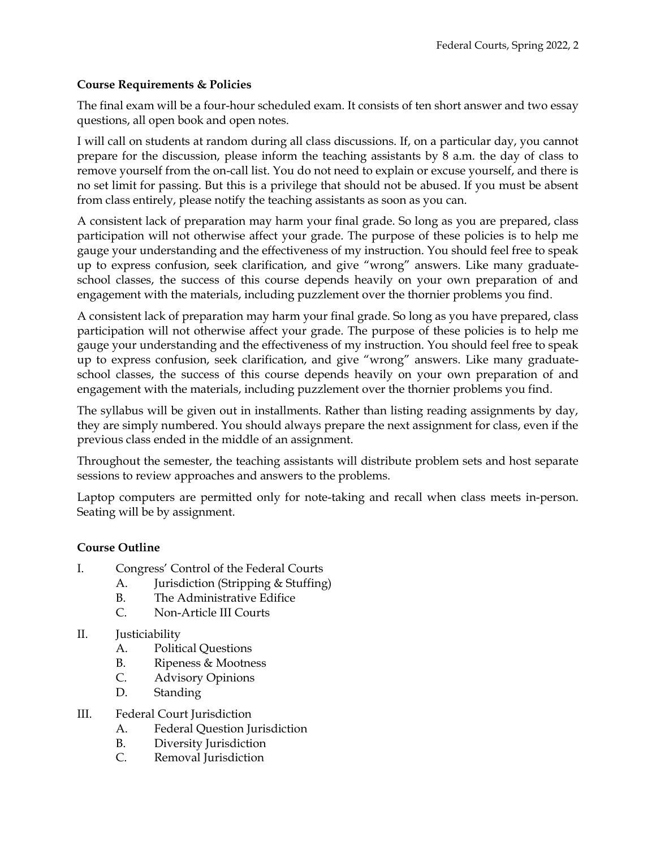### **Course Requirements & Policies**

The final exam will be a four-hour scheduled exam. It consists of ten short answer and two essay questions, all open book and open notes.

I will call on students at random during all class discussions. If, on a particular day, you cannot prepare for the discussion, please inform the teaching assistants by 8 a.m. the day of class to remove yourself from the on-call list. You do not need to explain or excuse yourself, and there is no set limit for passing. But this is a privilege that should not be abused. If you must be absent from class entirely, please notify the teaching assistants as soon as you can.

A consistent lack of preparation may harm your final grade. So long as you are prepared, class participation will not otherwise affect your grade. The purpose of these policies is to help me gauge your understanding and the effectiveness of my instruction. You should feel free to speak up to express confusion, seek clarification, and give "wrong" answers. Like many graduateschool classes, the success of this course depends heavily on your own preparation of and engagement with the materials, including puzzlement over the thornier problems you find.

A consistent lack of preparation may harm your final grade. So long as you have prepared, class participation will not otherwise affect your grade. The purpose of these policies is to help me gauge your understanding and the effectiveness of my instruction. You should feel free to speak up to express confusion, seek clarification, and give "wrong" answers. Like many graduateschool classes, the success of this course depends heavily on your own preparation of and engagement with the materials, including puzzlement over the thornier problems you find.

The syllabus will be given out in installments. Rather than listing reading assignments by day, they are simply numbered. You should always prepare the next assignment for class, even if the previous class ended in the middle of an assignment.

Throughout the semester, the teaching assistants will distribute problem sets and host separate sessions to review approaches and answers to the problems.

Laptop computers are permitted only for note-taking and recall when class meets in-person. Seating will be by assignment.

## **Course Outline**

- I. Congress' Control of the Federal Courts
	- A. Jurisdiction (Stripping & Stuffing)
	- B. The Administrative Edifice
	- C. Non-Article III Courts
- II. Justiciability
	- A. Political Questions
	- B. Ripeness & Mootness
	- C. Advisory Opinions
	- D. Standing
- III. Federal Court Jurisdiction
	- A. Federal Question Jurisdiction
	- B. Diversity Jurisdiction
	- C. Removal Jurisdiction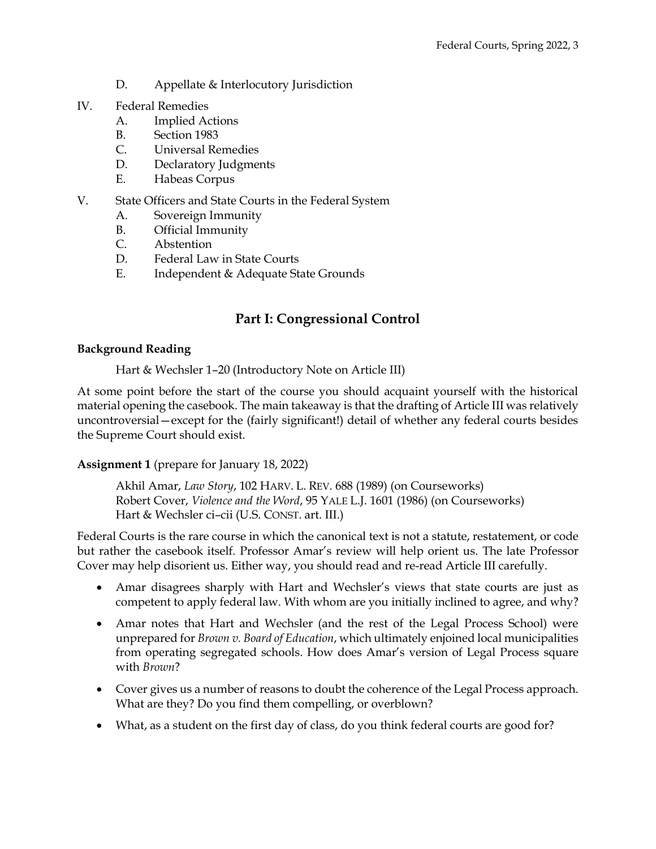- D. Appellate & Interlocutory Jurisdiction
- IV. Federal Remedies
	- A. Implied Actions
	- B. Section 1983
	- C. Universal Remedies
	- D. Declaratory Judgments
	- E. Habeas Corpus
- V. State Officers and State Courts in the Federal System
	- A. Sovereign Immunity
	- B. Official Immunity
	- C. Abstention
	- D. Federal Law in State Courts
	- E. Independent & Adequate State Grounds

## **Part I: Congressional Control**

### **Background Reading**

Hart & Wechsler 1–20 (Introductory Note on Article III)

At some point before the start of the course you should acquaint yourself with the historical material opening the casebook. The main takeaway is that the drafting of Article III was relatively uncontroversial—except for the (fairly significant!) detail of whether any federal courts besides the Supreme Court should exist.

### **Assignment 1** (prepare for January 18, 2022)

Akhil Amar, *Law Story*, 102 HARV. L. REV. 688 (1989) (on Courseworks) Robert Cover, *Violence and the Word*, 95 YALE L.J. 1601 (1986) (on Courseworks) Hart & Wechsler ci–cii (U.S. CONST. art. III.)

Federal Courts is the rare course in which the canonical text is not a statute, restatement, or code but rather the casebook itself. Professor Amar's review will help orient us. The late Professor Cover may help disorient us. Either way, you should read and re-read Article III carefully.

- Amar disagrees sharply with Hart and Wechsler's views that state courts are just as competent to apply federal law. With whom are you initially inclined to agree, and why?
- Amar notes that Hart and Wechsler (and the rest of the Legal Process School) were unprepared for *Brown v. Board of Education*, which ultimately enjoined local municipalities from operating segregated schools. How does Amar's version of Legal Process square with *Brown*?
- Cover gives us a number of reasons to doubt the coherence of the Legal Process approach. What are they? Do you find them compelling, or overblown?
- What, as a student on the first day of class, do you think federal courts are good for?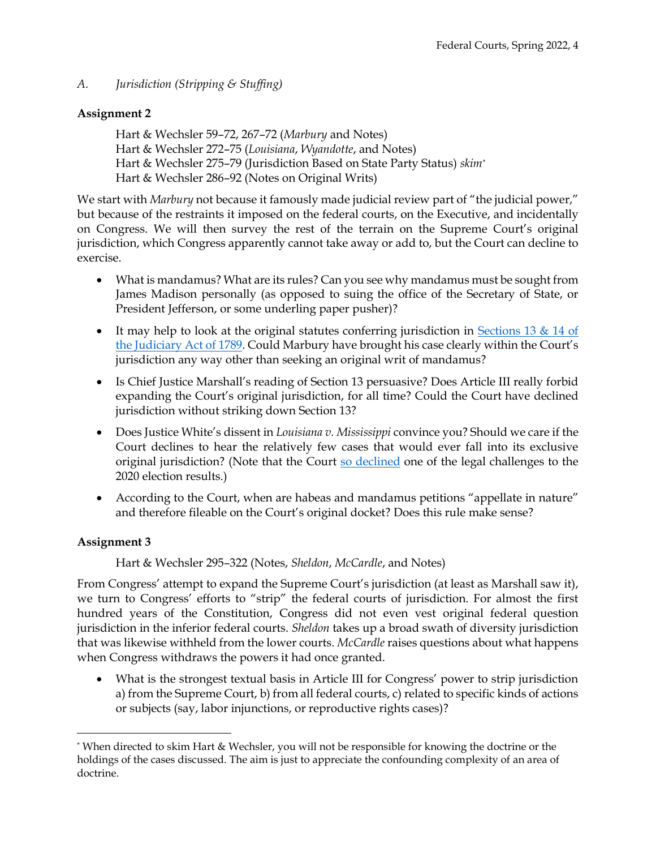*A. Jurisdiction (Stripping & Stuffing)*

## **Assignment 2**

Hart & Wechsler 59–72, 267–72 (*Marbury* and Notes) Hart & Wechsler 272–75 (*Louisiana*, *Wyandotte*, and Notes) Hart & Wechsler 275–79 (Jurisdiction Based on State Party Status) *skim\** Hart & Wechsler 286–92 (Notes on Original Writs)

We start with *Marbury* not because it famously made judicial review part of "the judicial power," but because of the restraints it imposed on the federal courts, on the Executive, and incidentally on Congress. We will then survey the rest of the terrain on the Supreme Court's original jurisdiction, which Congress apparently cannot take away or add to, but the Court can decline to exercise.

- What is mandamus? What are its rules? Can you see why mandamus must be sought from James Madison personally (as opposed to suing the office of the Secretary of State, or President Jefferson, or some underling paper pusher)?
- It may help to look at the original statutes conferring jurisdiction in Sections 13  $\&$  14 of [the Judiciary Act of 1789.](https://govtrackus.s3.amazonaws.com/legislink/pdf/stat/1/STATUTE-1-Pg73.pdf) Could Marbury have brought his case clearly within the Court's jurisdiction any way other than seeking an original writ of mandamus?
- Is Chief Justice Marshall's reading of Section 13 persuasive? Does Article III really forbid expanding the Court's original jurisdiction, for all time? Could the Court have declined jurisdiction without striking down Section 13?
- Does Justice White's dissent in *Louisiana v. Mississippi* convince you? Should we care if the Court declines to hear the relatively few cases that would ever fall into its exclusive original jurisdiction? (Note that the Court [so declined](https://www.supremecourt.gov/docket/docketfiles/html/public/22O155.html) one of the legal challenges to the 2020 election results.)
- According to the Court, when are habeas and mandamus petitions "appellate in nature" and therefore fileable on the Court's original docket? Does this rule make sense?

## **Assignment 3**

## Hart & Wechsler 295–322 (Notes, *Sheldon*, *McCardle*, and Notes)

From Congress' attempt to expand the Supreme Court's jurisdiction (at least as Marshall saw it), we turn to Congress' efforts to "strip" the federal courts of jurisdiction. For almost the first hundred years of the Constitution, Congress did not even vest original federal question jurisdiction in the inferior federal courts. *Sheldon* takes up a broad swath of diversity jurisdiction that was likewise withheld from the lower courts. *McCardle* raises questions about what happens when Congress withdraws the powers it had once granted.

• What is the strongest textual basis in Article III for Congress' power to strip jurisdiction a) from the Supreme Court, b) from all federal courts, c) related to specific kinds of actions or subjects (say, labor injunctions, or reproductive rights cases)?

<sup>\*</sup> When directed to skim Hart & Wechsler, you will not be responsible for knowing the doctrine or the holdings of the cases discussed. The aim is just to appreciate the confounding complexity of an area of doctrine.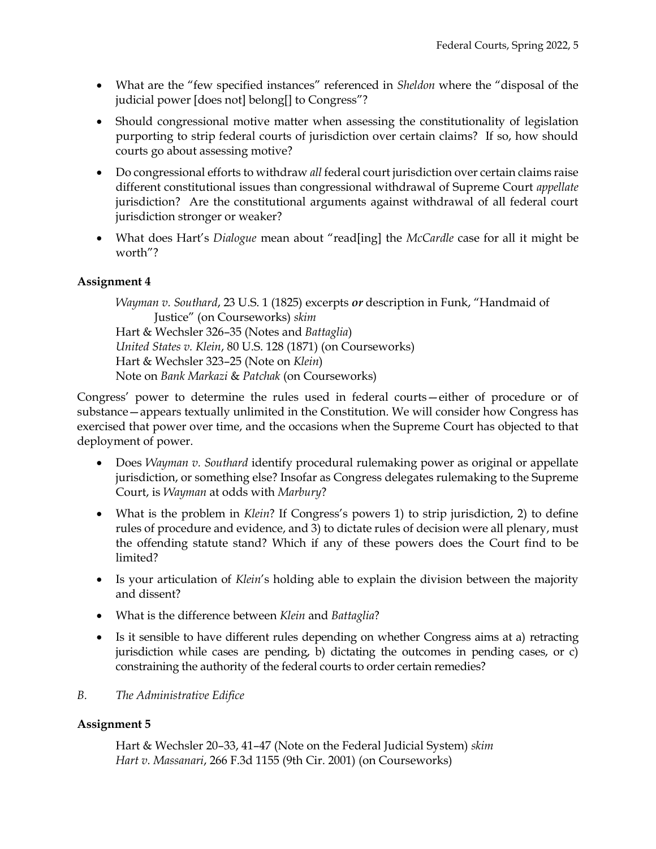- What are the "few specified instances" referenced in *Sheldon* where the "disposal of the judicial power [does not] belong[] to Congress"?
- Should congressional motive matter when assessing the constitutionality of legislation purporting to strip federal courts of jurisdiction over certain claims? If so, how should courts go about assessing motive?
- Do congressional efforts to withdraw *all* federal court jurisdiction over certain claims raise different constitutional issues than congressional withdrawal of Supreme Court *appellate* jurisdiction? Are the constitutional arguments against withdrawal of all federal court jurisdiction stronger or weaker?
- What does Hart's *Dialogue* mean about "read[ing] the *McCardle* case for all it might be worth"?

## **Assignment 4**

*Wayman v. Southard*, 23 U.S. 1 (1825) excerpts *or* description in Funk, "Handmaid of Justice" (on Courseworks) *skim* Hart & Wechsler 326–35 (Notes and *Battaglia*) *United States v. Klein*, 80 U.S. 128 (1871) (on Courseworks) Hart & Wechsler 323–25 (Note on *Klein*) Note on *Bank Markazi* & *Patchak* (on Courseworks)

Congress' power to determine the rules used in federal courts—either of procedure or of substance—appears textually unlimited in the Constitution. We will consider how Congress has exercised that power over time, and the occasions when the Supreme Court has objected to that deployment of power.

- Does *Wayman v. Southard* identify procedural rulemaking power as original or appellate jurisdiction, or something else? Insofar as Congress delegates rulemaking to the Supreme Court, is *Wayman* at odds with *Marbury*?
- What is the problem in *Klein*? If Congress's powers 1) to strip jurisdiction, 2) to define rules of procedure and evidence, and 3) to dictate rules of decision were all plenary, must the offending statute stand? Which if any of these powers does the Court find to be limited?
- Is your articulation of *Klein*'s holding able to explain the division between the majority and dissent?
- What is the difference between *Klein* and *Battaglia*?
- Is it sensible to have different rules depending on whether Congress aims at a) retracting jurisdiction while cases are pending, b) dictating the outcomes in pending cases, or c) constraining the authority of the federal courts to order certain remedies?
- *B. The Administrative Edifice*

## **Assignment 5**

Hart & Wechsler 20–33, 41–47 (Note on the Federal Judicial System) *skim Hart v. Massanari*, 266 F.3d 1155 (9th Cir. 2001) (on Courseworks)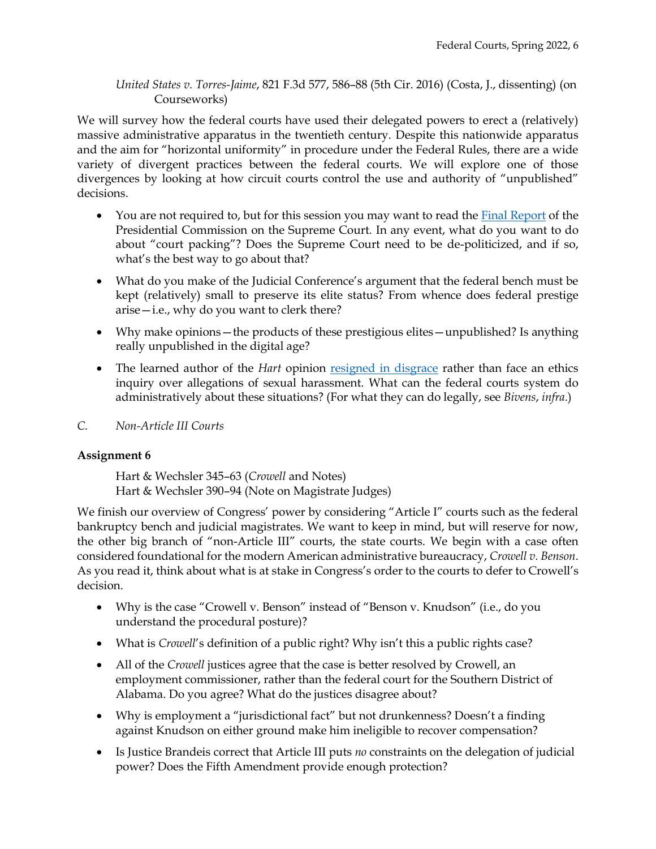### *United States v. Torres-Jaime*, 821 F.3d 577, 586–88 (5th Cir. 2016) (Costa, J., dissenting) (on Courseworks)

We will survey how the federal courts have used their delegated powers to erect a (relatively) massive administrative apparatus in the twentieth century. Despite this nationwide apparatus and the aim for "horizontal uniformity" in procedure under the Federal Rules, there are a wide variety of divergent practices between the federal courts. We will explore one of those divergences by looking at how circuit courts control the use and authority of "unpublished" decisions.

- You are not required to, but for this session you may want to read the [Final Report](https://www.whitehouse.gov/wp-content/uploads/2021/12/SCOTUS-Report-Final.pdf) of the Presidential Commission on the Supreme Court. In any event, what do you want to do about "court packing"? Does the Supreme Court need to be de-politicized, and if so, what's the best way to go about that?
- What do you make of the Judicial Conference's argument that the federal bench must be kept (relatively) small to preserve its elite status? From whence does federal prestige arise—i.e., why do you want to clerk there?
- Why make opinions—the products of these prestigious elites—unpublished? Is anything really unpublished in the digital age?
- The learned author of the *Hart* opinion [resigned in disgrace](https://www.nytimes.com/2017/12/18/us/alex-kozinski-retires.html) rather than face an ethics inquiry over allegations of sexual harassment. What can the federal courts system do administratively about these situations? (For what they can do legally, see *Bivens*, *infra*.)

## *C. Non-Article III Courts*

### **Assignment 6**

Hart & Wechsler 345–63 (*Crowell* and Notes) Hart & Wechsler 390–94 (Note on Magistrate Judges)

We finish our overview of Congress' power by considering "Article I" courts such as the federal bankruptcy bench and judicial magistrates. We want to keep in mind, but will reserve for now, the other big branch of "non-Article III" courts, the state courts. We begin with a case often considered foundational for the modern American administrative bureaucracy, *Crowell v. Benson*. As you read it, think about what is at stake in Congress's order to the courts to defer to Crowell's decision.

- Why is the case "Crowell v. Benson" instead of "Benson v. Knudson" (i.e., do you understand the procedural posture)?
- What is *Crowell*'s definition of a public right? Why isn't this a public rights case?
- All of the *Crowell* justices agree that the case is better resolved by Crowell, an employment commissioner, rather than the federal court for the Southern District of Alabama. Do you agree? What do the justices disagree about?
- Why is employment a "jurisdictional fact" but not drunkenness? Doesn't a finding against Knudson on either ground make him ineligible to recover compensation?
- Is Justice Brandeis correct that Article III puts *no* constraints on the delegation of judicial power? Does the Fifth Amendment provide enough protection?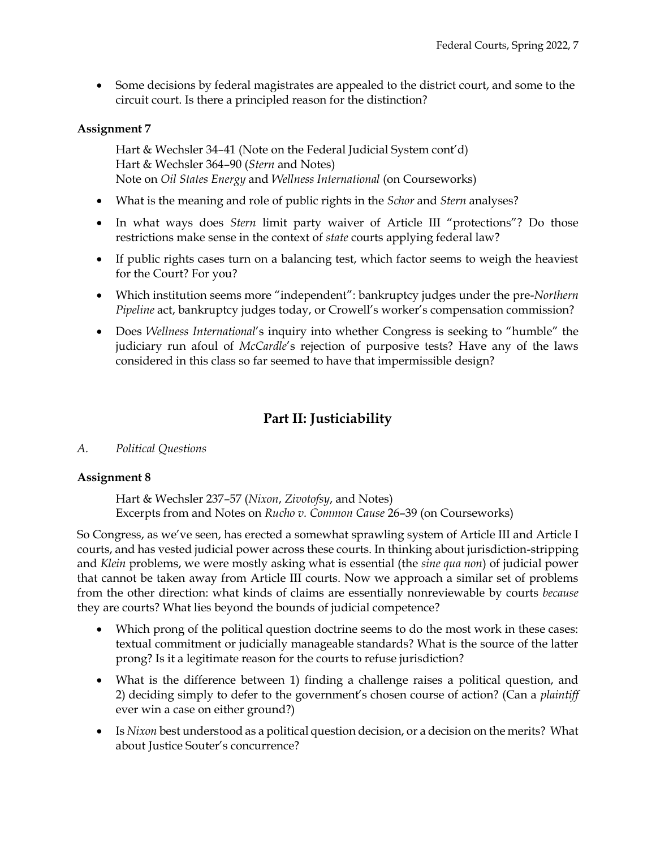• Some decisions by federal magistrates are appealed to the district court, and some to the circuit court. Is there a principled reason for the distinction?

## **Assignment 7**

Hart & Wechsler 34–41 (Note on the Federal Judicial System cont'd) Hart & Wechsler 364–90 (*Stern* and Notes) Note on *Oil States Energy* and *Wellness International* (on Courseworks)

- What is the meaning and role of public rights in the *Schor* and *Stern* analyses?
- In what ways does *Stern* limit party waiver of Article III "protections"? Do those restrictions make sense in the context of *state* courts applying federal law?
- If public rights cases turn on a balancing test, which factor seems to weigh the heaviest for the Court? For you?
- Which institution seems more "independent": bankruptcy judges under the pre-*Northern Pipeline* act, bankruptcy judges today, or Crowell's worker's compensation commission?
- Does *Wellness International*'s inquiry into whether Congress is seeking to "humble" the judiciary run afoul of *McCardle*'s rejection of purposive tests? Have any of the laws considered in this class so far seemed to have that impermissible design?

## **Part II: Justiciability**

### *A. Political Questions*

### **Assignment 8**

Hart & Wechsler 237–57 (*Nixon*, *Zivotofsy*, and Notes) Excerpts from and Notes on *Rucho v. Common Cause* 26–39 (on Courseworks)

So Congress, as we've seen, has erected a somewhat sprawling system of Article III and Article I courts, and has vested judicial power across these courts. In thinking about jurisdiction-stripping and *Klein* problems, we were mostly asking what is essential (the *sine qua non*) of judicial power that cannot be taken away from Article III courts. Now we approach a similar set of problems from the other direction: what kinds of claims are essentially nonreviewable by courts *because* they are courts? What lies beyond the bounds of judicial competence?

- Which prong of the political question doctrine seems to do the most work in these cases: textual commitment or judicially manageable standards? What is the source of the latter prong? Is it a legitimate reason for the courts to refuse jurisdiction?
- What is the difference between 1) finding a challenge raises a political question, and 2) deciding simply to defer to the government's chosen course of action? (Can a *plaintiff* ever win a case on either ground?)
- Is *Nixon* best understood as a political question decision, or a decision on the merits? What about Justice Souter's concurrence?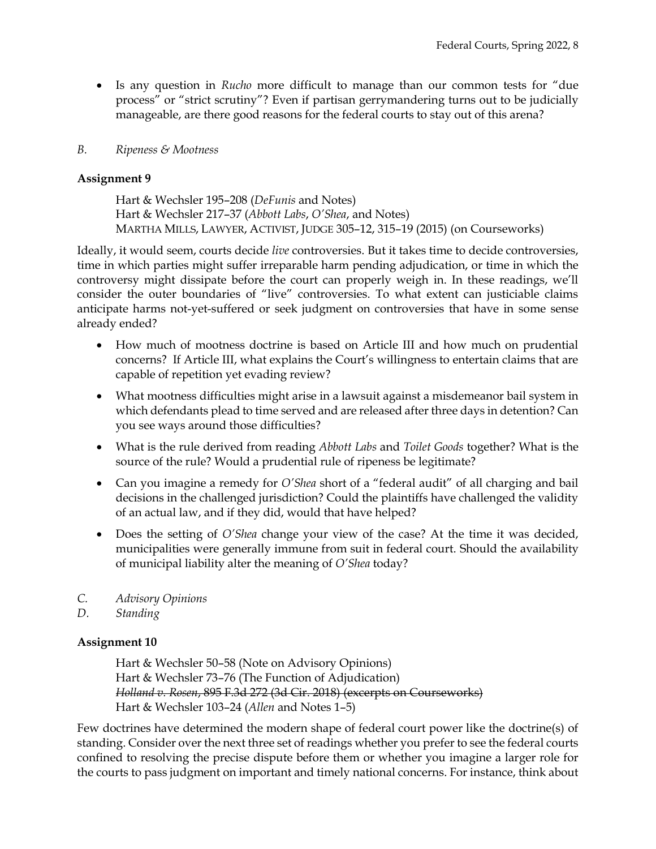• Is any question in *Rucho* more difficult to manage than our common tests for "due process" or "strict scrutiny"? Even if partisan gerrymandering turns out to be judicially manageable, are there good reasons for the federal courts to stay out of this arena?

### *B. Ripeness & Mootness*

### **Assignment 9**

Hart & Wechsler 195–208 (*DeFunis* and Notes) Hart & Wechsler 217–37 (*Abbott Labs*, *O'Shea*, and Notes) MARTHA MILLS, LAWYER, ACTIVIST, JUDGE 305–12, 315–19 (2015) (on Courseworks)

Ideally, it would seem, courts decide *live* controversies. But it takes time to decide controversies, time in which parties might suffer irreparable harm pending adjudication, or time in which the controversy might dissipate before the court can properly weigh in. In these readings, we'll consider the outer boundaries of "live" controversies. To what extent can justiciable claims anticipate harms not-yet-suffered or seek judgment on controversies that have in some sense already ended?

- How much of mootness doctrine is based on Article III and how much on prudential concerns? If Article III, what explains the Court's willingness to entertain claims that are capable of repetition yet evading review?
- What mootness difficulties might arise in a lawsuit against a misdemeanor bail system in which defendants plead to time served and are released after three days in detention? Can you see ways around those difficulties?
- What is the rule derived from reading *Abbott Labs* and *Toilet Goods* together? What is the source of the rule? Would a prudential rule of ripeness be legitimate?
- Can you imagine a remedy for *O'Shea* short of a "federal audit" of all charging and bail decisions in the challenged jurisdiction? Could the plaintiffs have challenged the validity of an actual law, and if they did, would that have helped?
- Does the setting of *O'Shea* change your view of the case? At the time it was decided, municipalities were generally immune from suit in federal court. Should the availability of municipal liability alter the meaning of *O'Shea* today?
- *C. Advisory Opinions*
- *D. Standing*

## **Assignment 10**

Hart & Wechsler 50–58 (Note on Advisory Opinions) Hart & Wechsler 73–76 (The Function of Adjudication) *Holland v. Rosen*, 895 F.3d 272 (3d Cir. 2018) (excerpts on Courseworks) Hart & Wechsler 103–24 (*Allen* and Notes 1–5)

Few doctrines have determined the modern shape of federal court power like the doctrine(s) of standing. Consider over the next three set of readings whether you prefer to see the federal courts confined to resolving the precise dispute before them or whether you imagine a larger role for the courts to pass judgment on important and timely national concerns. For instance, think about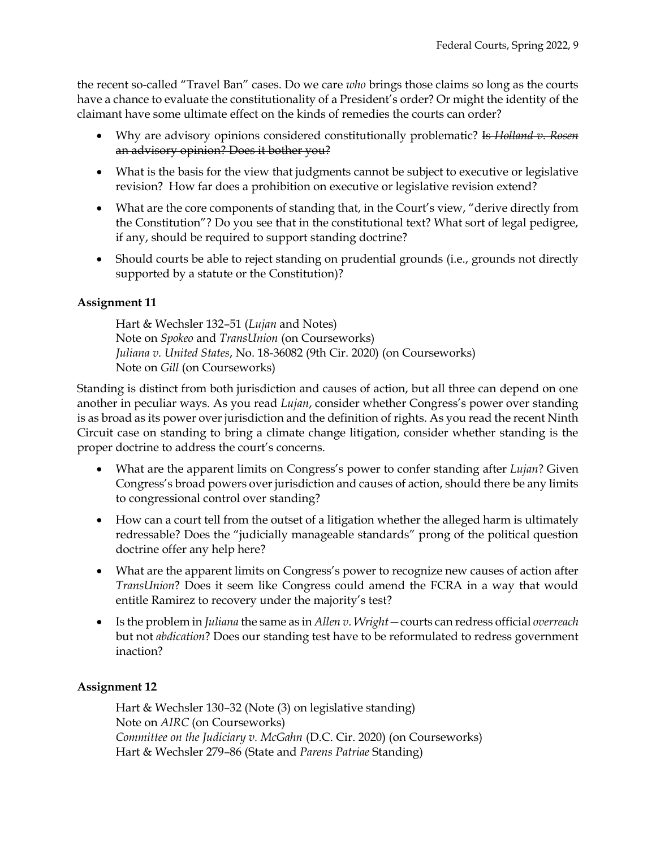the recent so-called "Travel Ban" cases. Do we care *who* brings those claims so long as the courts have a chance to evaluate the constitutionality of a President's order? Or might the identity of the claimant have some ultimate effect on the kinds of remedies the courts can order?

- Why are advisory opinions considered constitutionally problematic? Is *Holland v. Rosen* an advisory opinion? Does it bother you?
- What is the basis for the view that judgments cannot be subject to executive or legislative revision? How far does a prohibition on executive or legislative revision extend?
- What are the core components of standing that, in the Court's view, "derive directly from the Constitution"? Do you see that in the constitutional text? What sort of legal pedigree, if any, should be required to support standing doctrine?
- Should courts be able to reject standing on prudential grounds (i.e., grounds not directly supported by a statute or the Constitution)?

## **Assignment 11**

Hart & Wechsler 132–51 (*Lujan* and Notes) Note on *Spokeo* and *TransUnion* (on Courseworks) *Juliana v. United States*, No. 18-36082 (9th Cir. 2020) (on Courseworks) Note on *Gill* (on Courseworks)

Standing is distinct from both jurisdiction and causes of action, but all three can depend on one another in peculiar ways. As you read *Lujan*, consider whether Congress's power over standing is as broad as its power over jurisdiction and the definition of rights. As you read the recent Ninth Circuit case on standing to bring a climate change litigation, consider whether standing is the proper doctrine to address the court's concerns.

- What are the apparent limits on Congress's power to confer standing after *Lujan*? Given Congress's broad powers over jurisdiction and causes of action, should there be any limits to congressional control over standing?
- How can a court tell from the outset of a litigation whether the alleged harm is ultimately redressable? Does the "judicially manageable standards" prong of the political question doctrine offer any help here?
- What are the apparent limits on Congress's power to recognize new causes of action after *TransUnion*? Does it seem like Congress could amend the FCRA in a way that would entitle Ramirez to recovery under the majority's test?
- Is the problem in *Juliana* the same as in *Allen v. Wright*—courts can redress official *overreach* but not *abdication*? Does our standing test have to be reformulated to redress government inaction?

## **Assignment 12**

Hart & Wechsler 130–32 (Note (3) on legislative standing) Note on *AIRC* (on Courseworks) *Committee on the Judiciary v. McGahn* (D.C. Cir. 2020) (on Courseworks) Hart & Wechsler 279–86 (State and *Parens Patriae* Standing)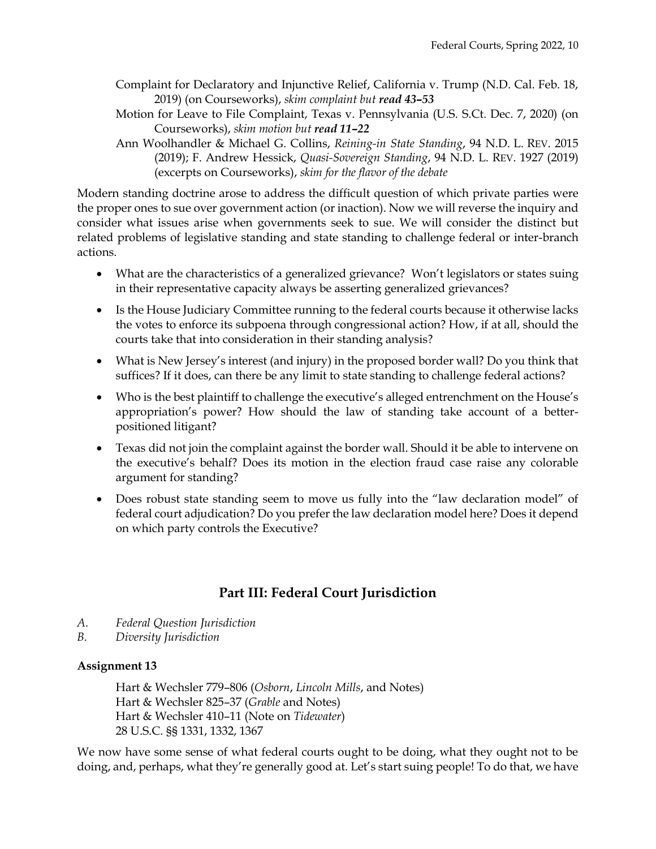- Complaint for Declaratory and Injunctive Relief, California v. Trump (N.D. Cal. Feb. 18, 2019) (on Courseworks), *skim complaint but read 43–53*
- Motion for Leave to File Complaint, Texas v. Pennsylvania (U.S. S.Ct. Dec. 7, 2020) (on Courseworks), *skim motion but read 11–22*
- Ann Woolhandler & Michael G. Collins, *Reining-in State Standing*, 94 N.D. L. REV. 2015 (2019); F. Andrew Hessick, *Quasi-Sovereign Standing*, 94 N.D. L. REV. 1927 (2019) (excerpts on Courseworks), *skim for the flavor of the debate*

Modern standing doctrine arose to address the difficult question of which private parties were the proper ones to sue over government action (or inaction). Now we will reverse the inquiry and consider what issues arise when governments seek to sue. We will consider the distinct but related problems of legislative standing and state standing to challenge federal or inter-branch actions.

- What are the characteristics of a generalized grievance? Won't legislators or states suing in their representative capacity always be asserting generalized grievances?
- Is the House Judiciary Committee running to the federal courts because it otherwise lacks the votes to enforce its subpoena through congressional action? How, if at all, should the courts take that into consideration in their standing analysis?
- What is New Jersey's interest (and injury) in the proposed border wall? Do you think that suffices? If it does, can there be any limit to state standing to challenge federal actions?
- Who is the best plaintiff to challenge the executive's alleged entrenchment on the House's appropriation's power? How should the law of standing take account of a betterpositioned litigant?
- Texas did not join the complaint against the border wall. Should it be able to intervene on the executive's behalf? Does its motion in the election fraud case raise any colorable argument for standing?
- Does robust state standing seem to move us fully into the "law declaration model" of federal court adjudication? Do you prefer the law declaration model here? Does it depend on which party controls the Executive?

# **Part III: Federal Court Jurisdiction**

- *A. Federal Question Jurisdiction*
- *B. Diversity Jurisdiction*

## **Assignment 13**

Hart & Wechsler 779–806 (*Osborn*, *Lincoln Mills*, and Notes) Hart & Wechsler 825–37 (*Grable* and Notes) Hart & Wechsler 410–11 (Note on *Tidewater*) 28 U.S.C. §§ 1331, 1332, 1367

We now have some sense of what federal courts ought to be doing, what they ought not to be doing, and, perhaps, what they're generally good at. Let's start suing people! To do that, we have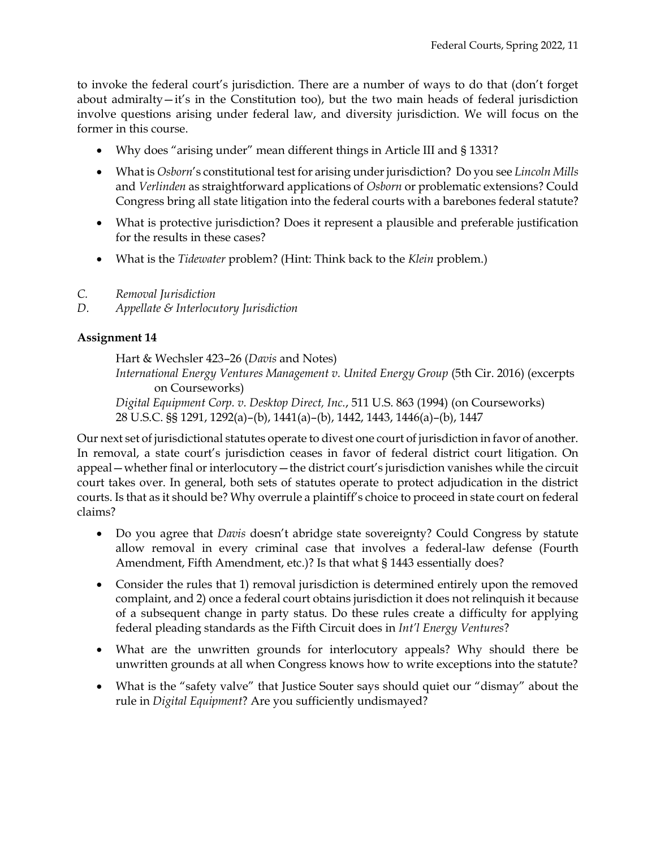to invoke the federal court's jurisdiction. There are a number of ways to do that (don't forget about admiralty—it's in the Constitution too), but the two main heads of federal jurisdiction involve questions arising under federal law, and diversity jurisdiction. We will focus on the former in this course.

- Why does "arising under" mean different things in Article III and § 1331?
- What is *Osborn*'s constitutional test for arising under jurisdiction? Do you see *Lincoln Mills* and *Verlinden* as straightforward applications of *Osborn* or problematic extensions? Could Congress bring all state litigation into the federal courts with a barebones federal statute?
- What is protective jurisdiction? Does it represent a plausible and preferable justification for the results in these cases?
- What is the *Tidewater* problem? (Hint: Think back to the *Klein* problem.)
- *C. Removal Jurisdiction*
- *D. Appellate & Interlocutory Jurisdiction*

## **Assignment 14**

Hart & Wechsler 423–26 (*Davis* and Notes)

*International Energy Ventures Management v. United Energy Group* (5th Cir. 2016) (excerpts on Courseworks)

*Digital Equipment Corp. v. Desktop Direct, Inc.*, 511 U.S. 863 (1994) (on Courseworks) 28 U.S.C. §§ 1291, 1292(a)–(b), 1441(a)–(b), 1442, 1443, 1446(a)–(b), 1447

Our next set of jurisdictional statutes operate to divest one court of jurisdiction in favor of another. In removal, a state court's jurisdiction ceases in favor of federal district court litigation. On appeal—whether final or interlocutory—the district court's jurisdiction vanishes while the circuit court takes over. In general, both sets of statutes operate to protect adjudication in the district courts. Is that as it should be? Why overrule a plaintiff's choice to proceed in state court on federal claims?

- Do you agree that *Davis* doesn't abridge state sovereignty? Could Congress by statute allow removal in every criminal case that involves a federal-law defense (Fourth Amendment, Fifth Amendment, etc.)? Is that what § 1443 essentially does?
- Consider the rules that 1) removal jurisdiction is determined entirely upon the removed complaint, and 2) once a federal court obtains jurisdiction it does not relinquish it because of a subsequent change in party status. Do these rules create a difficulty for applying federal pleading standards as the Fifth Circuit does in *Int'l Energy Ventures*?
- What are the unwritten grounds for interlocutory appeals? Why should there be unwritten grounds at all when Congress knows how to write exceptions into the statute?
- What is the "safety valve" that Justice Souter says should quiet our "dismay" about the rule in *Digital Equipment*? Are you sufficiently undismayed?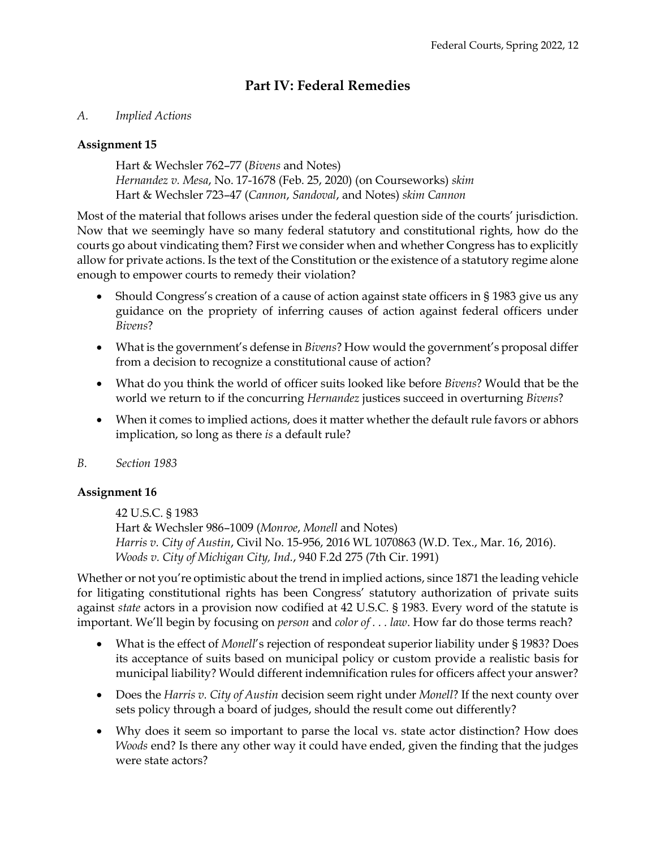# **Part IV: Federal Remedies**

## *A. Implied Actions*

## **Assignment 15**

Hart & Wechsler 762–77 (*Bivens* and Notes) *Hernandez v. Mesa*, No. 17-1678 (Feb. 25, 2020) (on Courseworks) *skim* Hart & Wechsler 723–47 (*Cannon*, *Sandoval*, and Notes) *skim Cannon*

Most of the material that follows arises under the federal question side of the courts' jurisdiction. Now that we seemingly have so many federal statutory and constitutional rights, how do the courts go about vindicating them? First we consider when and whether Congress has to explicitly allow for private actions. Is the text of the Constitution or the existence of a statutory regime alone enough to empower courts to remedy their violation?

- Should Congress's creation of a cause of action against state officers in § 1983 give us any guidance on the propriety of inferring causes of action against federal officers under *Bivens*?
- What is the government's defense in *Bivens*? How would the government's proposal differ from a decision to recognize a constitutional cause of action?
- What do you think the world of officer suits looked like before *Bivens*? Would that be the world we return to if the concurring *Hernandez* justices succeed in overturning *Bivens*?
- When it comes to implied actions, does it matter whether the default rule favors or abhors implication, so long as there *is* a default rule?
- *B. Section 1983*

## **Assignment 16**

42 U.S.C. § 1983 Hart & Wechsler 986–1009 (*Monroe*, *Monell* and Notes) *Harris v. City of Austin*, Civil No. 15-956, 2016 WL 1070863 (W.D. Tex., Mar. 16, 2016). *Woods v. City of Michigan City, Ind.*, 940 F.2d 275 (7th Cir. 1991)

Whether or not you're optimistic about the trend in implied actions, since 1871 the leading vehicle for litigating constitutional rights has been Congress' statutory authorization of private suits against *state* actors in a provision now codified at 42 U.S.C. § 1983. Every word of the statute is important. We'll begin by focusing on *person* and *color of . . . law*. How far do those terms reach?

- What is the effect of *Monell*'s rejection of respondeat superior liability under § 1983? Does its acceptance of suits based on municipal policy or custom provide a realistic basis for municipal liability? Would different indemnification rules for officers affect your answer?
- Does the *Harris v. City of Austin* decision seem right under *Monell*? If the next county over sets policy through a board of judges, should the result come out differently?
- Why does it seem so important to parse the local vs. state actor distinction? How does *Woods* end? Is there any other way it could have ended, given the finding that the judges were state actors?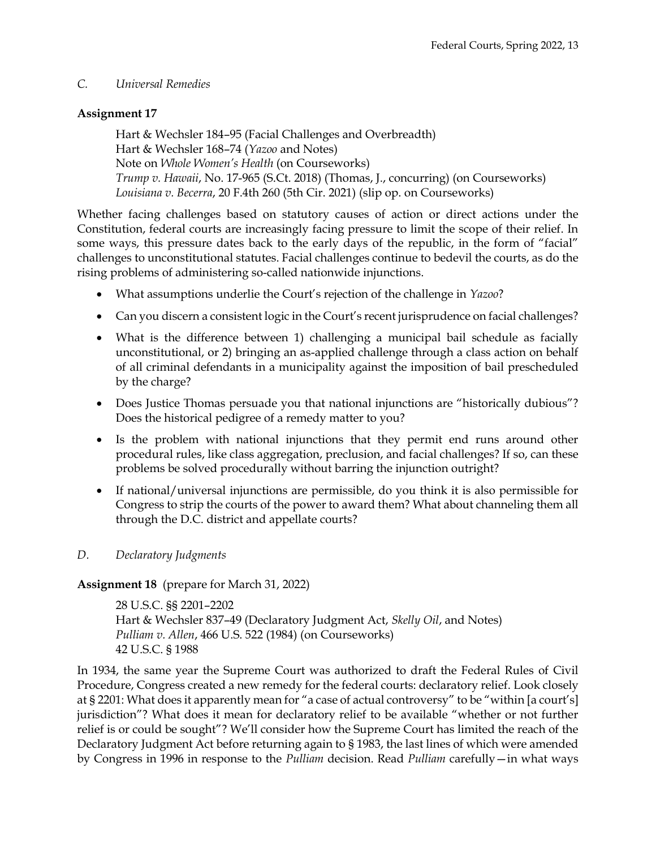### *C. Universal Remedies*

### **Assignment 17**

Hart & Wechsler 184–95 (Facial Challenges and Overbreadth) Hart & Wechsler 168–74 (*Yazoo* and Notes) Note on *Whole Women's Health* (on Courseworks) *Trump v. Hawaii*, No. 17-965 (S.Ct. 2018) (Thomas, J., concurring) (on Courseworks) *Louisiana v. Becerra*, 20 F.4th 260 (5th Cir. 2021) (slip op. on Courseworks)

Whether facing challenges based on statutory causes of action or direct actions under the Constitution, federal courts are increasingly facing pressure to limit the scope of their relief. In some ways, this pressure dates back to the early days of the republic, in the form of "facial" challenges to unconstitutional statutes. Facial challenges continue to bedevil the courts, as do the rising problems of administering so-called nationwide injunctions.

- What assumptions underlie the Court's rejection of the challenge in *Yazoo*?
- Can you discern a consistent logic in the Court's recent jurisprudence on facial challenges?
- What is the difference between 1) challenging a municipal bail schedule as facially unconstitutional, or 2) bringing an as-applied challenge through a class action on behalf of all criminal defendants in a municipality against the imposition of bail prescheduled by the charge?
- Does Justice Thomas persuade you that national injunctions are "historically dubious"? Does the historical pedigree of a remedy matter to you?
- Is the problem with national injunctions that they permit end runs around other procedural rules, like class aggregation, preclusion, and facial challenges? If so, can these problems be solved procedurally without barring the injunction outright?
- If national/universal injunctions are permissible, do you think it is also permissible for Congress to strip the courts of the power to award them? What about channeling them all through the D.C. district and appellate courts?

## *D. Declaratory Judgments*

## **Assignment 18** (prepare for March 31, 2022)

28 U.S.C. §§ 2201–2202 Hart & Wechsler 837–49 (Declaratory Judgment Act, *Skelly Oil*, and Notes) *Pulliam v. Allen*, 466 U.S. 522 (1984) (on Courseworks) 42 U.S.C. § 1988

In 1934, the same year the Supreme Court was authorized to draft the Federal Rules of Civil Procedure, Congress created a new remedy for the federal courts: declaratory relief. Look closely at § 2201: What does it apparently mean for "a case of actual controversy" to be "within [a court's] jurisdiction"? What does it mean for declaratory relief to be available "whether or not further relief is or could be sought"? We'll consider how the Supreme Court has limited the reach of the Declaratory Judgment Act before returning again to § 1983, the last lines of which were amended by Congress in 1996 in response to the *Pulliam* decision. Read *Pulliam* carefully—in what ways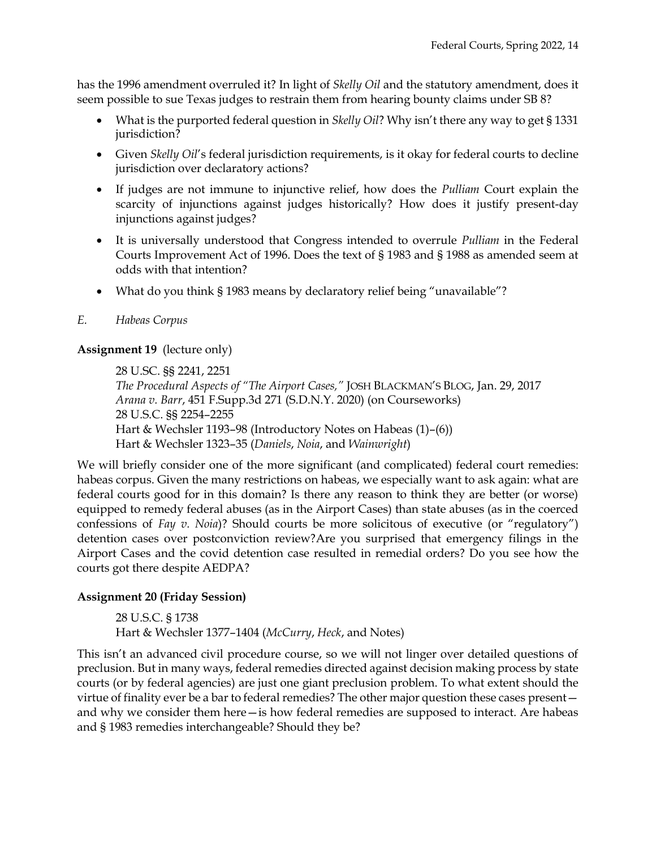has the 1996 amendment overruled it? In light of *Skelly Oil* and the statutory amendment, does it seem possible to sue Texas judges to restrain them from hearing bounty claims under SB 8?

- What is the purported federal question in *Skelly Oil*? Why isn't there any way to get § 1331 jurisdiction?
- Given *Skelly Oil*'s federal jurisdiction requirements, is it okay for federal courts to decline jurisdiction over declaratory actions?
- If judges are not immune to injunctive relief, how does the *Pulliam* Court explain the scarcity of injunctions against judges historically? How does it justify present-day injunctions against judges?
- It is universally understood that Congress intended to overrule *Pulliam* in the Federal Courts Improvement Act of 1996. Does the text of § 1983 and § 1988 as amended seem at odds with that intention?
- What do you think § 1983 means by declaratory relief being "unavailable"?

### *E. Habeas Corpus*

### **Assignment 19** (lecture only)

28 U.SC. §§ 2241, 2251 *The Procedural Aspects of "The Airport Cases,"* JOSH BLACKMAN'S BLOG, Jan. 29, 2017 *Arana v. Barr*, 451 F.Supp.3d 271 (S.D.N.Y. 2020) (on Courseworks) 28 U.S.C. §§ 2254–2255 Hart & Wechsler 1193–98 (Introductory Notes on Habeas (1)–(6)) Hart & Wechsler 1323–35 (*Daniels*, *Noia*, and *Wainwright*)

We will briefly consider one of the more significant (and complicated) federal court remedies: habeas corpus. Given the many restrictions on habeas, we especially want to ask again: what are federal courts good for in this domain? Is there any reason to think they are better (or worse) equipped to remedy federal abuses (as in the Airport Cases) than state abuses (as in the coerced confessions of *Fay v. Noia*)? Should courts be more solicitous of executive (or "regulatory") detention cases over postconviction review?Are you surprised that emergency filings in the Airport Cases and the covid detention case resulted in remedial orders? Do you see how the courts got there despite AEDPA?

### **Assignment 20 (Friday Session)**

28 U.S.C. § 1738 Hart & Wechsler 1377–1404 (*McCurry*, *Heck*, and Notes)

This isn't an advanced civil procedure course, so we will not linger over detailed questions of preclusion. But in many ways, federal remedies directed against decision making process by state courts (or by federal agencies) are just one giant preclusion problem. To what extent should the virtue of finality ever be a bar to federal remedies? The other major question these cases present and why we consider them here—is how federal remedies are supposed to interact. Are habeas and § 1983 remedies interchangeable? Should they be?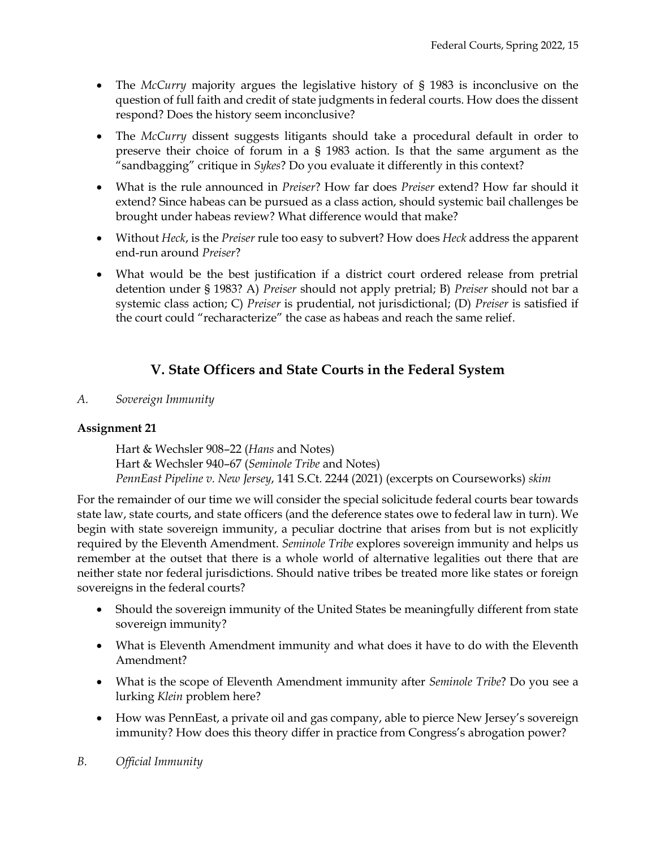- The *McCurry* majority argues the legislative history of § 1983 is inconclusive on the question of full faith and credit of state judgments in federal courts. How does the dissent respond? Does the history seem inconclusive?
- The *McCurry* dissent suggests litigants should take a procedural default in order to preserve their choice of forum in a § 1983 action. Is that the same argument as the "sandbagging" critique in *Sykes*? Do you evaluate it differently in this context?
- What is the rule announced in *Preiser*? How far does *Preiser* extend? How far should it extend? Since habeas can be pursued as a class action, should systemic bail challenges be brought under habeas review? What difference would that make?
- Without *Heck*, is the *Preiser* rule too easy to subvert? How does *Heck* address the apparent end-run around *Preiser*?
- What would be the best justification if a district court ordered release from pretrial detention under § 1983? A) *Preiser* should not apply pretrial; B) *Preiser* should not bar a systemic class action; C) *Preiser* is prudential, not jurisdictional; (D) *Preiser* is satisfied if the court could "recharacterize" the case as habeas and reach the same relief.

# **V. State Officers and State Courts in the Federal System**

*A. Sovereign Immunity*

## **Assignment 21**

Hart & Wechsler 908–22 (*Hans* and Notes) Hart & Wechsler 940–67 (*Seminole Tribe* and Notes) *PennEast Pipeline v. New Jersey*, 141 S.Ct. 2244 (2021) (excerpts on Courseworks) *skim*

For the remainder of our time we will consider the special solicitude federal courts bear towards state law, state courts, and state officers (and the deference states owe to federal law in turn). We begin with state sovereign immunity, a peculiar doctrine that arises from but is not explicitly required by the Eleventh Amendment. *Seminole Tribe* explores sovereign immunity and helps us remember at the outset that there is a whole world of alternative legalities out there that are neither state nor federal jurisdictions. Should native tribes be treated more like states or foreign sovereigns in the federal courts?

- Should the sovereign immunity of the United States be meaningfully different from state sovereign immunity?
- What is Eleventh Amendment immunity and what does it have to do with the Eleventh Amendment?
- What is the scope of Eleventh Amendment immunity after *Seminole Tribe*? Do you see a lurking *Klein* problem here?
- How was PennEast, a private oil and gas company, able to pierce New Jersey's sovereign immunity? How does this theory differ in practice from Congress's abrogation power?
- *B. Official Immunity*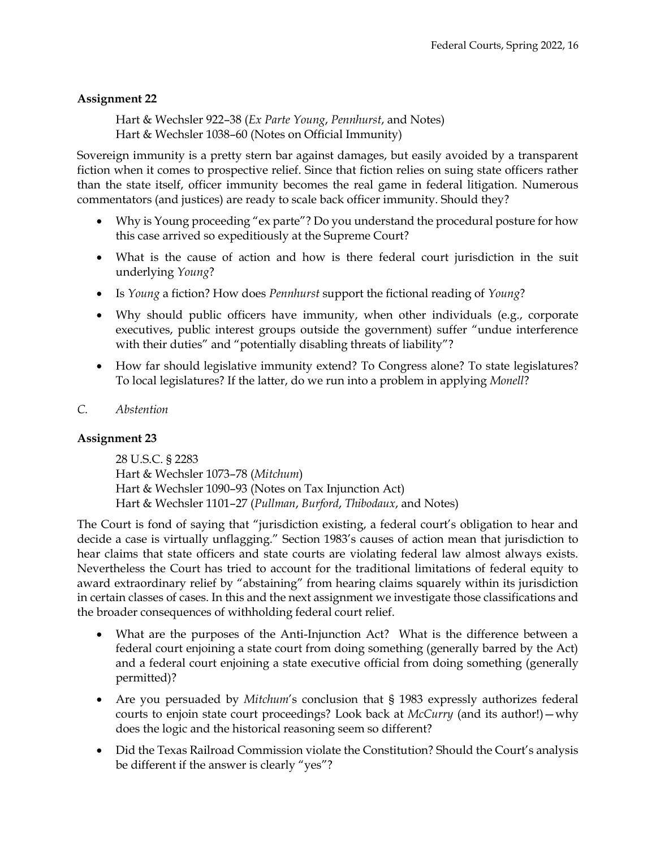## **Assignment 22**

Hart & Wechsler 922–38 (*Ex Parte Young*, *Pennhurst*, and Notes) Hart & Wechsler 1038–60 (Notes on Official Immunity)

Sovereign immunity is a pretty stern bar against damages, but easily avoided by a transparent fiction when it comes to prospective relief. Since that fiction relies on suing state officers rather than the state itself, officer immunity becomes the real game in federal litigation. Numerous commentators (and justices) are ready to scale back officer immunity. Should they?

- Why is Young proceeding "ex parte"? Do you understand the procedural posture for how this case arrived so expeditiously at the Supreme Court?
- What is the cause of action and how is there federal court jurisdiction in the suit underlying *Young*?
- Is *Young* a fiction? How does *Pennhurst* support the fictional reading of *Young*?
- Why should public officers have immunity, when other individuals (e.g., corporate executives, public interest groups outside the government) suffer "undue interference with their duties" and "potentially disabling threats of liability"?
- How far should legislative immunity extend? To Congress alone? To state legislatures? To local legislatures? If the latter, do we run into a problem in applying *Monell*?
- *C. Abstention*

### **Assignment 23**

28 U.S.C. § 2283 Hart & Wechsler 1073–78 (*Mitchum*) Hart & Wechsler 1090–93 (Notes on Tax Injunction Act) Hart & Wechsler 1101–27 (*Pullman*, *Burford*, *Thibodaux*, and Notes)

The Court is fond of saying that "jurisdiction existing, a federal court's obligation to hear and decide a case is virtually unflagging." Section 1983's causes of action mean that jurisdiction to hear claims that state officers and state courts are violating federal law almost always exists. Nevertheless the Court has tried to account for the traditional limitations of federal equity to award extraordinary relief by "abstaining" from hearing claims squarely within its jurisdiction in certain classes of cases. In this and the next assignment we investigate those classifications and the broader consequences of withholding federal court relief.

- What are the purposes of the Anti-Injunction Act? What is the difference between a federal court enjoining a state court from doing something (generally barred by the Act) and a federal court enjoining a state executive official from doing something (generally permitted)?
- Are you persuaded by *Mitchum's* conclusion that § 1983 expressly authorizes federal courts to enjoin state court proceedings? Look back at *McCurry* (and its author!)—why does the logic and the historical reasoning seem so different?
- Did the Texas Railroad Commission violate the Constitution? Should the Court's analysis be different if the answer is clearly "yes"?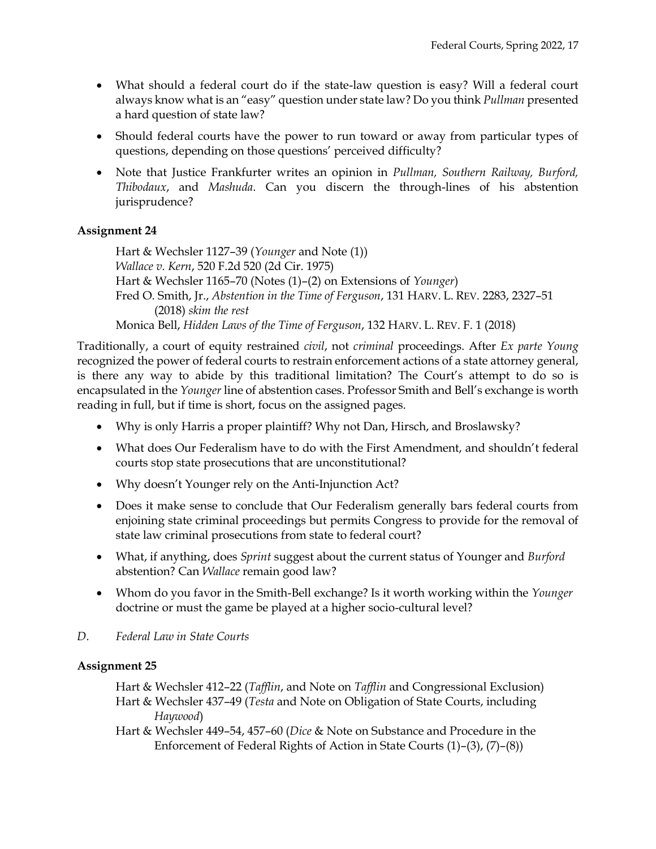- What should a federal court do if the state-law question is easy? Will a federal court always know what is an "easy" question under state law? Do you think *Pullman* presented a hard question of state law?
- Should federal courts have the power to run toward or away from particular types of questions, depending on those questions' perceived difficulty?
- Note that Justice Frankfurter writes an opinion in *Pullman, Southern Railway, Burford, Thibodaux*, and *Mashuda*. Can you discern the through-lines of his abstention jurisprudence?

### **Assignment 24**

Hart & Wechsler 1127–39 (*Younger* and Note (1)) *Wallace v. Kern*, 520 F.2d 520 (2d Cir. 1975) Hart & Wechsler 1165–70 (Notes (1)–(2) on Extensions of *Younger*) Fred O. Smith, Jr., *Abstention in the Time of Ferguson*, 131 HARV. L. REV. 2283, 2327–51 (2018) *skim the rest* Monica Bell, *Hidden Laws of the Time of Ferguson*, 132 HARV. L. REV. F. 1 (2018)

Traditionally, a court of equity restrained *civil*, not *criminal* proceedings. After *Ex parte Young* recognized the power of federal courts to restrain enforcement actions of a state attorney general, is there any way to abide by this traditional limitation? The Court's attempt to do so is encapsulated in the *Younger* line of abstention cases. Professor Smith and Bell's exchange is worth reading in full, but if time is short, focus on the assigned pages.

- Why is only Harris a proper plaintiff? Why not Dan, Hirsch, and Broslawsky?
- What does Our Federalism have to do with the First Amendment, and shouldn't federal courts stop state prosecutions that are unconstitutional?
- Why doesn't Younger rely on the Anti-Injunction Act?
- Does it make sense to conclude that Our Federalism generally bars federal courts from enjoining state criminal proceedings but permits Congress to provide for the removal of state law criminal prosecutions from state to federal court?
- What, if anything, does *Sprint* suggest about the current status of Younger and *Burford* abstention? Can *Wallace* remain good law?
- Whom do you favor in the Smith-Bell exchange? Is it worth working within the *Younger*  doctrine or must the game be played at a higher socio-cultural level?
- *D. Federal Law in State Courts*

### **Assignment 25**

Hart & Wechsler 412–22 (*Tafflin*, and Note on *Tafflin* and Congressional Exclusion) Hart & Wechsler 437–49 (*Testa* and Note on Obligation of State Courts, including *Haywood*)

Hart & Wechsler 449–54, 457–60 (*Dice* & Note on Substance and Procedure in the Enforcement of Federal Rights of Action in State Courts (1)–(3), (7)–(8))